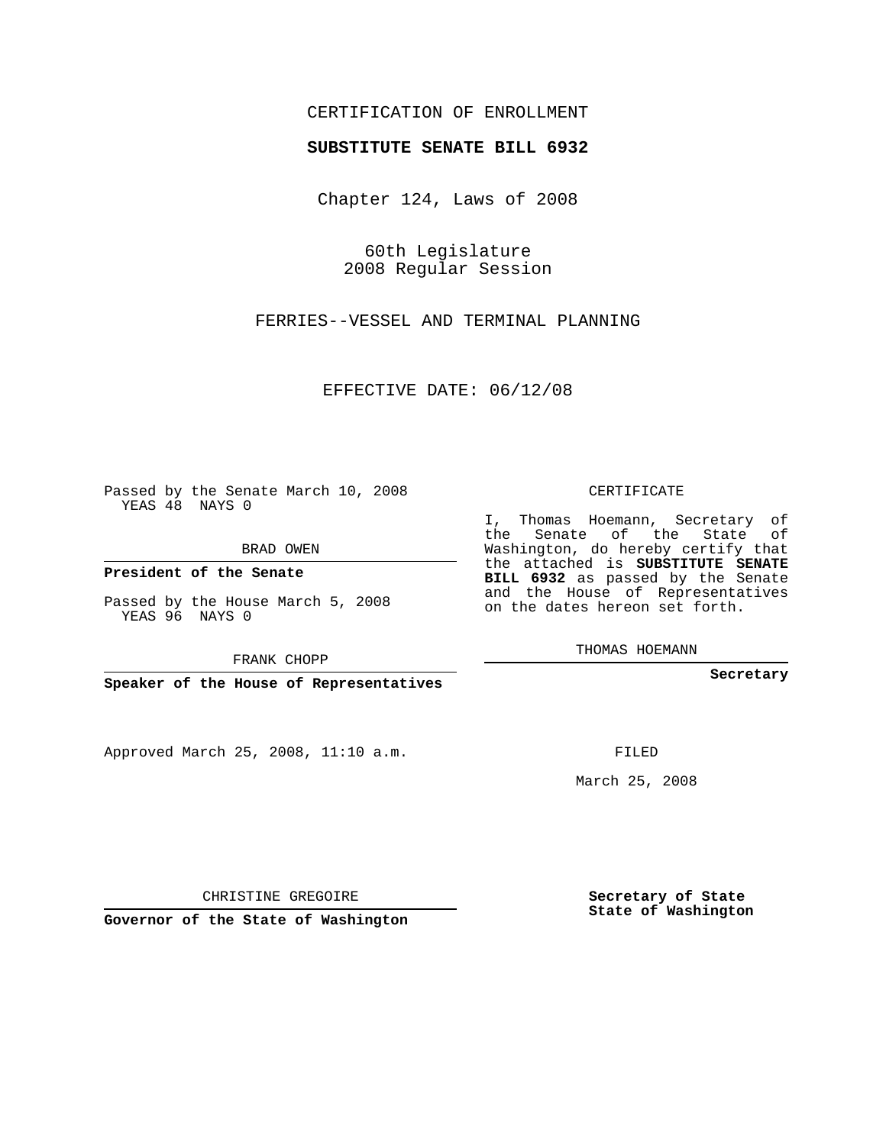## CERTIFICATION OF ENROLLMENT

### **SUBSTITUTE SENATE BILL 6932**

Chapter 124, Laws of 2008

60th Legislature 2008 Regular Session

FERRIES--VESSEL AND TERMINAL PLANNING

EFFECTIVE DATE: 06/12/08

Passed by the Senate March 10, 2008 YEAS 48 NAYS 0

BRAD OWEN

**President of the Senate**

Passed by the House March 5, 2008 YEAS 96 NAYS 0

FRANK CHOPP

**Speaker of the House of Representatives**

Approved March 25, 2008, 11:10 a.m.

CERTIFICATE

I, Thomas Hoemann, Secretary of the Senate of the State of Washington, do hereby certify that the attached is **SUBSTITUTE SENATE BILL 6932** as passed by the Senate and the House of Representatives on the dates hereon set forth.

THOMAS HOEMANN

**Secretary**

FILED

March 25, 2008

**Secretary of State State of Washington**

CHRISTINE GREGOIRE

**Governor of the State of Washington**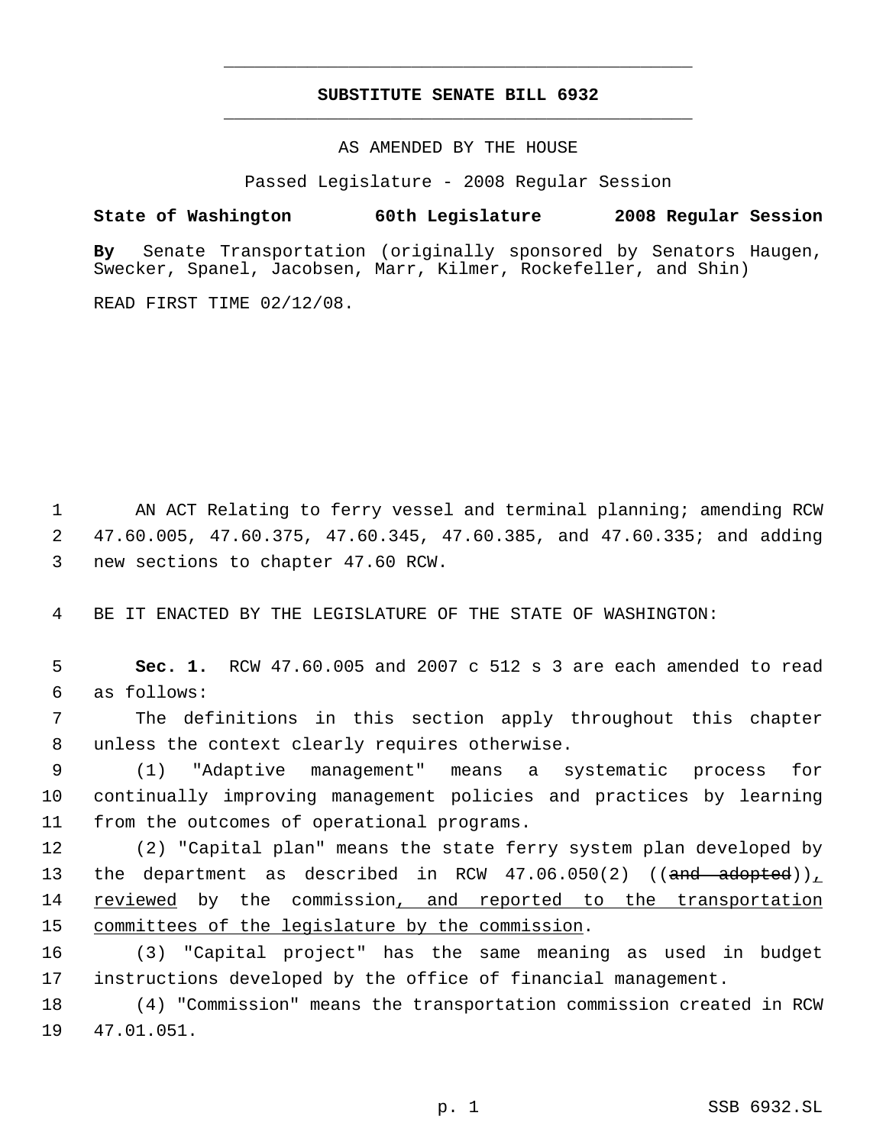# **SUBSTITUTE SENATE BILL 6932** \_\_\_\_\_\_\_\_\_\_\_\_\_\_\_\_\_\_\_\_\_\_\_\_\_\_\_\_\_\_\_\_\_\_\_\_\_\_\_\_\_\_\_\_\_

\_\_\_\_\_\_\_\_\_\_\_\_\_\_\_\_\_\_\_\_\_\_\_\_\_\_\_\_\_\_\_\_\_\_\_\_\_\_\_\_\_\_\_\_\_

AS AMENDED BY THE HOUSE

Passed Legislature - 2008 Regular Session

### **State of Washington 60th Legislature 2008 Regular Session**

**By** Senate Transportation (originally sponsored by Senators Haugen, Swecker, Spanel, Jacobsen, Marr, Kilmer, Rockefeller, and Shin)

READ FIRST TIME 02/12/08.

 1 AN ACT Relating to ferry vessel and terminal planning; amending RCW 2 47.60.005, 47.60.375, 47.60.345, 47.60.385, and 47.60.335; and adding 3 new sections to chapter 47.60 RCW.

4 BE IT ENACTED BY THE LEGISLATURE OF THE STATE OF WASHINGTON:

 5 **Sec. 1.** RCW 47.60.005 and 2007 c 512 s 3 are each amended to read 6 as follows:

 7 The definitions in this section apply throughout this chapter 8 unless the context clearly requires otherwise.

 9 (1) "Adaptive management" means a systematic process for 10 continually improving management policies and practices by learning 11 from the outcomes of operational programs.

12 (2) "Capital plan" means the state ferry system plan developed by 13 the department as described in RCW  $47.06.050(2)$  ((and adopted)), 14 reviewed by the commission, and reported to the transportation 15 committees of the legislature by the commission.

16 (3) "Capital project" has the same meaning as used in budget 17 instructions developed by the office of financial management.

18 (4) "Commission" means the transportation commission created in RCW 19 47.01.051.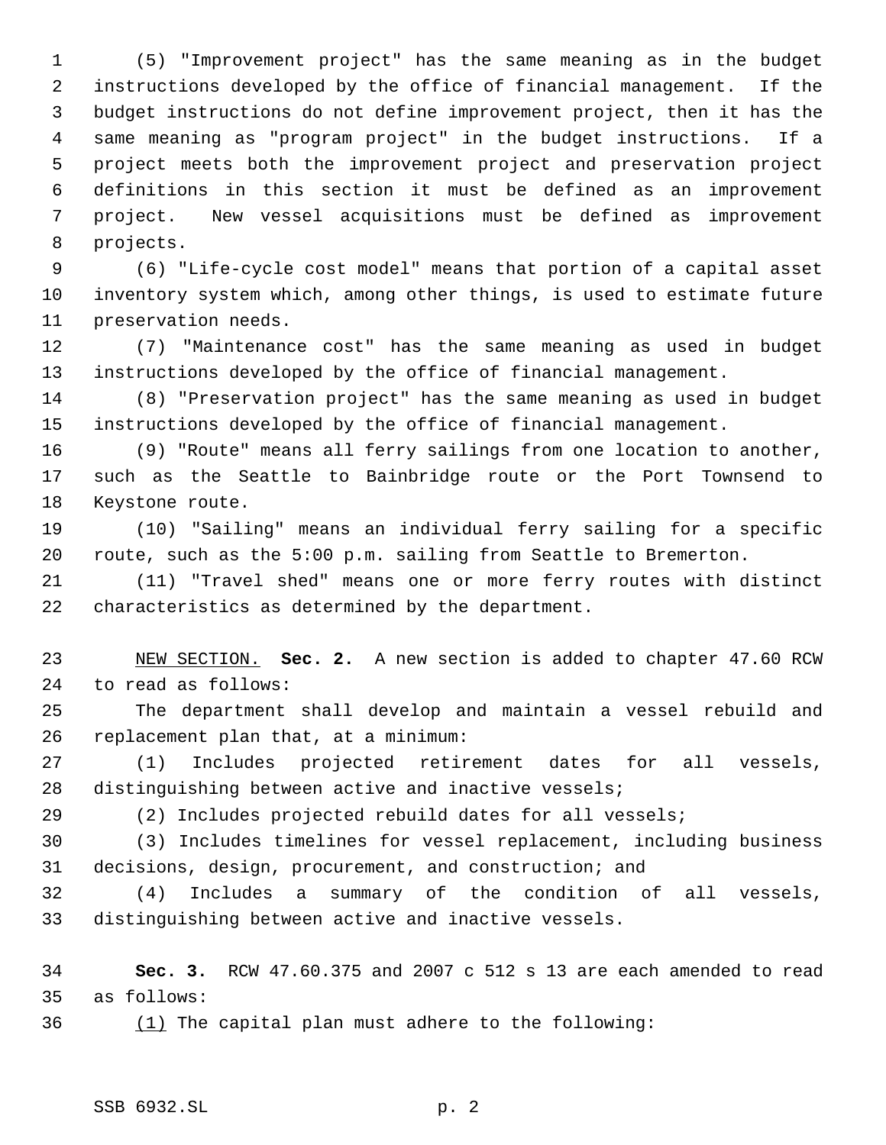(5) "Improvement project" has the same meaning as in the budget instructions developed by the office of financial management. If the budget instructions do not define improvement project, then it has the same meaning as "program project" in the budget instructions. If a project meets both the improvement project and preservation project definitions in this section it must be defined as an improvement project. New vessel acquisitions must be defined as improvement projects.

 (6) "Life-cycle cost model" means that portion of a capital asset inventory system which, among other things, is used to estimate future preservation needs.

 (7) "Maintenance cost" has the same meaning as used in budget instructions developed by the office of financial management.

 (8) "Preservation project" has the same meaning as used in budget instructions developed by the office of financial management.

 (9) "Route" means all ferry sailings from one location to another, such as the Seattle to Bainbridge route or the Port Townsend to Keystone route.

 (10) "Sailing" means an individual ferry sailing for a specific route, such as the 5:00 p.m. sailing from Seattle to Bremerton.

 (11) "Travel shed" means one or more ferry routes with distinct characteristics as determined by the department.

 NEW SECTION. **Sec. 2.** A new section is added to chapter 47.60 RCW to read as follows:

 The department shall develop and maintain a vessel rebuild and replacement plan that, at a minimum:

 (1) Includes projected retirement dates for all vessels, distinguishing between active and inactive vessels;

(2) Includes projected rebuild dates for all vessels;

 (3) Includes timelines for vessel replacement, including business decisions, design, procurement, and construction; and

 (4) Includes a summary of the condition of all vessels, distinguishing between active and inactive vessels.

 **Sec. 3.** RCW 47.60.375 and 2007 c 512 s 13 are each amended to read as follows:

(1) The capital plan must adhere to the following: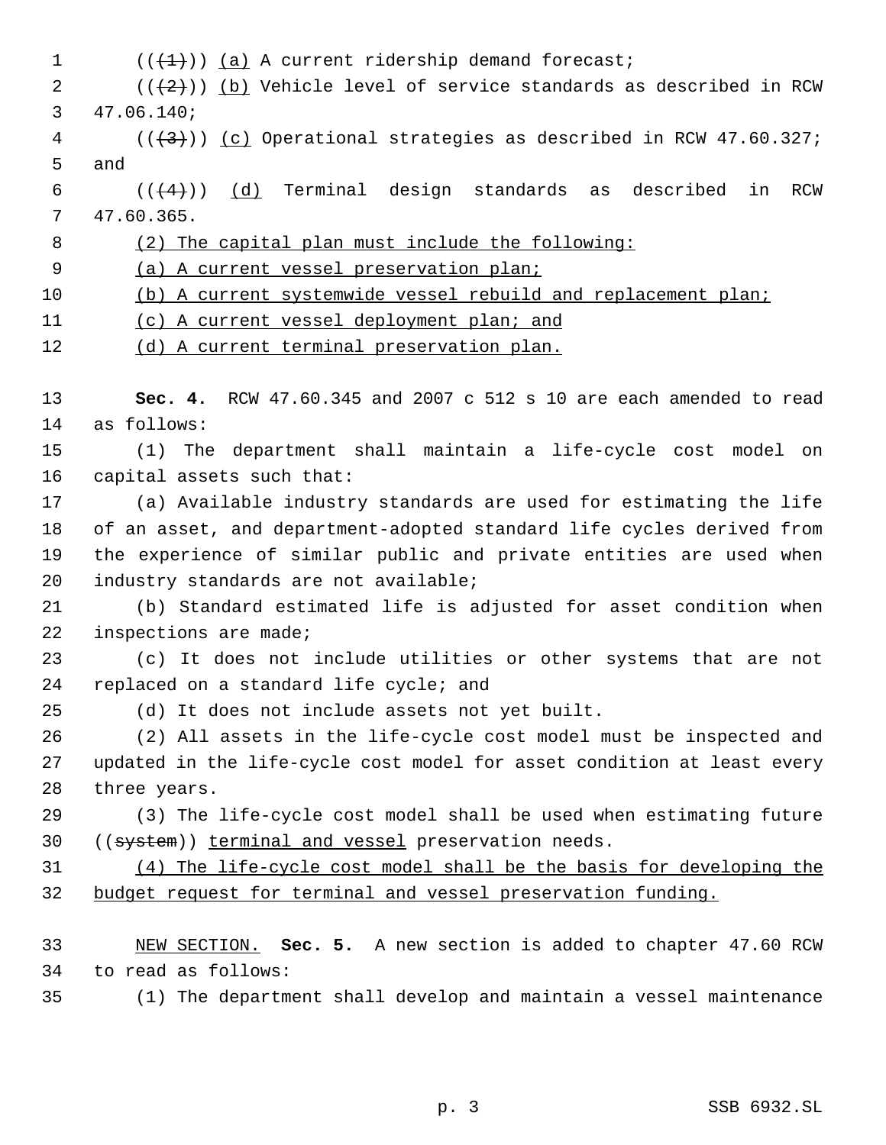$((+1))$   $(a)$  A current ridership demand forecast;  $((+2))$  (b) Vehicle level of service standards as described in RCW 47.06.140; (( $\left(43\right)$ )) <u>(c)</u> Operational strategies as described in RCW 47.60.327; and 6 ( $(\frac{4}{4})$ ) (d) Terminal design standards as described in RCW 47.60.365. (2) The capital plan must include the following: (a) A current vessel preservation plan; (b) A current systemwide vessel rebuild and replacement plan; 11 (c) A current vessel deployment plan; and 12 (d) A current terminal preservation plan. **Sec. 4.** RCW 47.60.345 and 2007 c 512 s 10 are each amended to read as follows: (1) The department shall maintain a life-cycle cost model on capital assets such that: (a) Available industry standards are used for estimating the life of an asset, and department-adopted standard life cycles derived from the experience of similar public and private entities are used when industry standards are not available; (b) Standard estimated life is adjusted for asset condition when inspections are made; (c) It does not include utilities or other systems that are not 24 replaced on a standard life cycle; and (d) It does not include assets not yet built. (2) All assets in the life-cycle cost model must be inspected and updated in the life-cycle cost model for asset condition at least every three years. (3) The life-cycle cost model shall be used when estimating future 30 ((system)) terminal and vessel preservation needs. (4) The life-cycle cost model shall be the basis for developing the budget request for terminal and vessel preservation funding. NEW SECTION. **Sec. 5.** A new section is added to chapter 47.60 RCW to read as follows: (1) The department shall develop and maintain a vessel maintenance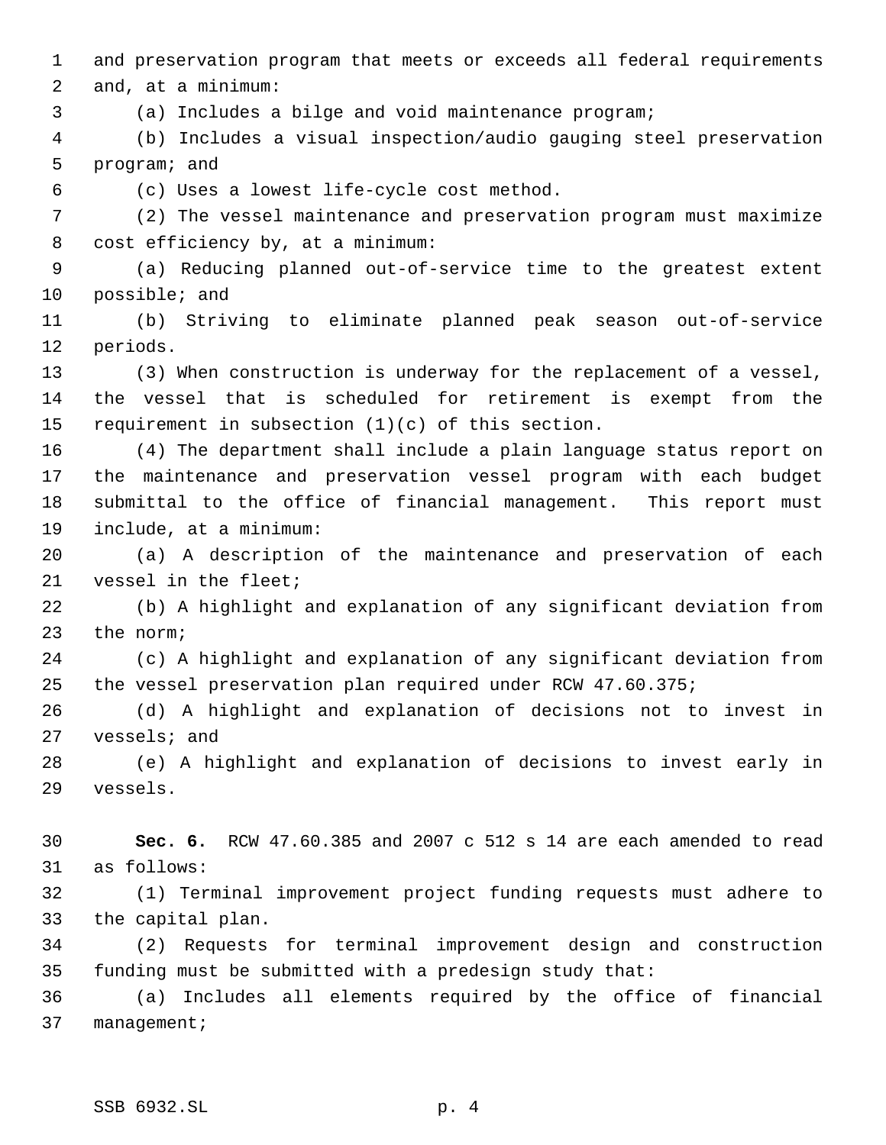and preservation program that meets or exceeds all federal requirements and, at a minimum:

(a) Includes a bilge and void maintenance program;

 (b) Includes a visual inspection/audio gauging steel preservation program; and

(c) Uses a lowest life-cycle cost method.

 (2) The vessel maintenance and preservation program must maximize cost efficiency by, at a minimum:

 (a) Reducing planned out-of-service time to the greatest extent possible; and

 (b) Striving to eliminate planned peak season out-of-service periods.

 (3) When construction is underway for the replacement of a vessel, the vessel that is scheduled for retirement is exempt from the requirement in subsection (1)(c) of this section.

 (4) The department shall include a plain language status report on the maintenance and preservation vessel program with each budget submittal to the office of financial management. This report must include, at a minimum:

 (a) A description of the maintenance and preservation of each vessel in the fleet;

 (b) A highlight and explanation of any significant deviation from the norm;

 (c) A highlight and explanation of any significant deviation from the vessel preservation plan required under RCW 47.60.375;

 (d) A highlight and explanation of decisions not to invest in vessels; and

 (e) A highlight and explanation of decisions to invest early in vessels.

 **Sec. 6.** RCW 47.60.385 and 2007 c 512 s 14 are each amended to read as follows:

 (1) Terminal improvement project funding requests must adhere to the capital plan.

 (2) Requests for terminal improvement design and construction funding must be submitted with a predesign study that:

 (a) Includes all elements required by the office of financial management;